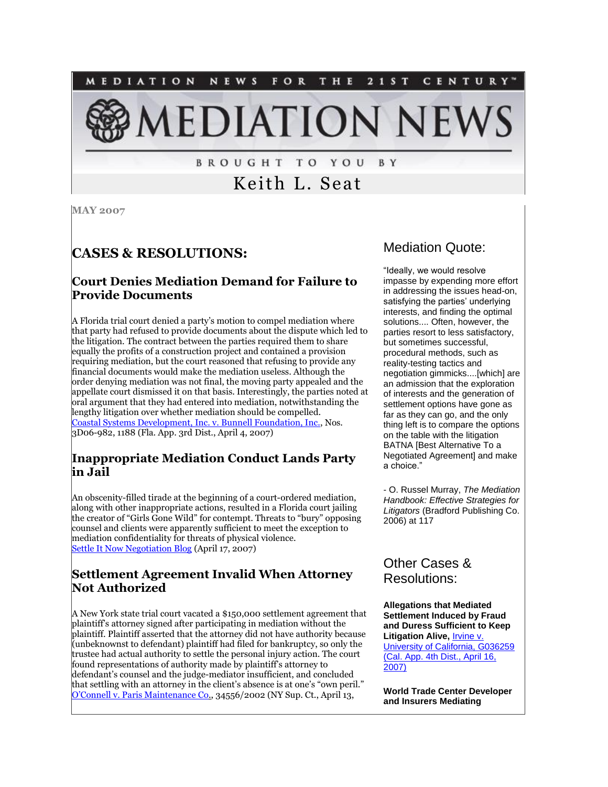

**BROUGHT TO YOU** B Y

# Keith L. Seat

**MAY 2007**

### **CASES & RESOLUTIONS:**

#### **Court Denies Mediation Demand for Failure to Provide Documents**

A Florida trial court denied a party's motion to compel mediation where that party had refused to provide documents about the dispute which led to the litigation. The contract between the parties required them to share equally the profits of a construction project and contained a provision requiring mediation, but the court reasoned that refusing to provide any financial documents would make the mediation useless. Although the order denying mediation was not final, the moving party appealed and the appellate court dismissed it on that basis. Interestingly, the parties noted at oral argument that they had entered into mediation, notwithstanding the lengthy litigation over whether mediation should be compelled. [Coastal Systems Development, Inc. v. Bunnell Foundation, Inc.,](http://www.3dca.flcourts.org/Opinions/3D06-1188.op.pdf) Nos. 3D06-982, 1188 (Fla. App. 3rd Dist., April 4, 2007)

#### **Inappropriate Mediation Conduct Lands Party in Jail**

An obscenity-filled tirade at the beginning of a court-ordered mediation, along with other inappropriate actions, resulted in a Florida court jailing the creator of "Girls Gone Wild" for contempt. Threats to "bury" opposing counsel and clients were apparently sufficient to meet the exception to mediation confidentiality for threats of physical violence. [Settle It Now Negotiation Blog](http://tinyurl.com/27c35v) (April 17, 2007)

#### **Settlement Agreement Invalid When Attorney Not Authorized**

A New York state trial court vacated a \$150,000 settlement agreement that plaintiff's attorney signed after participating in mediation without the plaintiff. Plaintiff asserted that the attorney did not have authority because (unbeknownst to defendant) plaintiff had filed for bankruptcy, so only the trustee had actual authority to settle the personal injury action. The court found representations of authority made by plaintiff's attorney to defendant's counsel and the judge-mediator insufficient, and concluded that settling with an attorney in the client's absence is at one's "own peril." [O'Connell v. Paris Maintenance Co](http://web2.westlaw.com/search/default.wl?fn=_top&rs=LAWS2.0&mt=LawSchoolPractitioner&vr=2.0&rp=%2fsearch%2fdefault.wl&sv=Split&DB=ALLCASES)., 34556/2002 (NY Sup. Ct., April 13,

#### Mediation Quote:

"Ideally, we would resolve impasse by expending more effort in addressing the issues head-on, satisfying the parties' underlying interests, and finding the optimal solutions.... Often, however, the parties resort to less satisfactory, but sometimes successful, procedural methods, such as reality-testing tactics and negotiation gimmicks....[which] are an admission that the exploration of interests and the generation of settlement options have gone as far as they can go, and the only thing left is to compare the options on the table with the litigation BATNA [Best Alternative To a Negotiated Agreement] and make a choice."

- O. Russel Murray, *The Mediation Handbook: Effective Strategies for Litigators* (Bradford Publishing Co. 2006) at 117

### Other Cases & Resolutions:

**Allegations that Mediated Settlement Induced by Fraud and Duress Sufficient to Keep Litigation Alive,** [Irvine v.](http://tinyurl.com/2wos24)  [University of California, G036259](http://tinyurl.com/2wos24)  [\(Cal. App. 4th Dist., April 16,](http://tinyurl.com/2wos24)  [2007\)](http://tinyurl.com/2wos24)

**World Trade Center Developer and Insurers Mediating**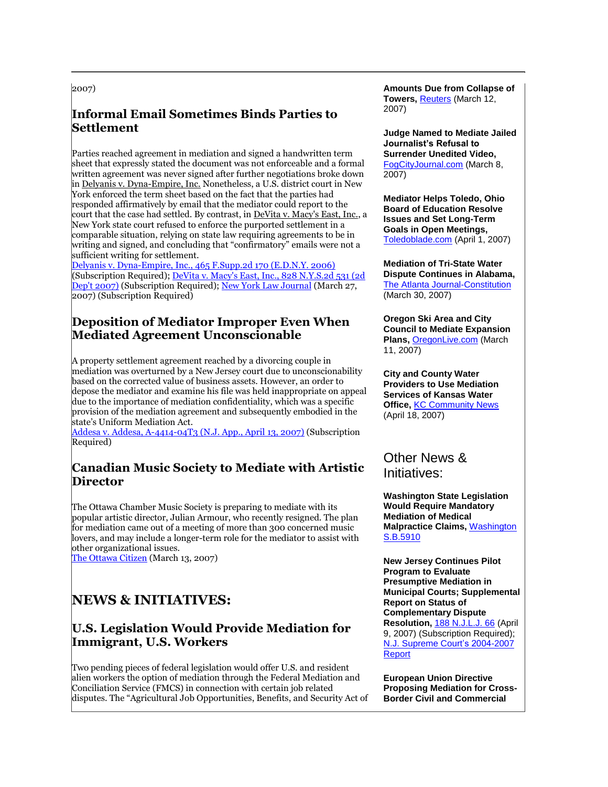2007)

#### **Informal Email Sometimes Binds Parties to Settlement**

Parties reached agreement in mediation and signed a handwritten term sheet that expressly stated the document was not enforceable and a formal written agreement was never signed after further negotiations broke down in Delyanis v. Dyna-Empire, Inc. Nonetheless, a U.S. district court in New York enforced the term sheet based on the fact that the parties had responded affirmatively by email that the mediator could report to the court that the case had settled. By contrast, in DeVita v. Macy's East, Inc., a New York state court refused to enforce the purported settlement in a comparable situation, relying on state law requiring agreements to be in writing and signed, and concluding that "confirmatory" emails were not a sufficient writing for settlement.

[Delyanis v. Dyna-Empire, Inc., 465 F.Supp.2d 170 \(E.D.N.Y. 2006\)](http://web2.westlaw.com/find/default.wl?rp=%2ffind%2fdefault.wl&vc=0&DB=4637&SerialNum=2010893425&FindType=Y&AP=&fn=_top&rs=WLW7.02&mt=NewsAndBusiness&vr=%0d%0a%202.0&sv=Split) (Subscription Required); DeVita v. Macy's East, Inc., 828 N.Y.S.2d 531 (2d [Dep't 2007\)](https://web2.westlaw.com/find/default.wl?rp=%2ffind%2fdefault.wl&vc=0&DB=602&SerialNum=2011270155&FindType=Y&AP=&fn=_top&rs=WLW7.04&mt=LawSchoolPractitioner&vr=2.0&sv=Split) (Subscription Required); [New York Law Journal](http://web2.westlaw.com/find/default.wl?rs=WLW7.04&fn=_top&sv=Split&findjuris=00001&mt=LawSchoolPractitioner&vr=2.0&rp=%2ffind%2fdefault.wl&cite=3%2f27%2f2007+N.Y.L.J.+20) (March 27, 2007) (Subscription Required)

#### **Deposition of Mediator Improper Even When Mediated Agreement Unconscionable**

A property settlement agreement reached by a divorcing couple in mediation was overturned by a New Jersey court due to unconscionability based on the corrected value of business assets. However, an order to depose the mediator and examine his file was held inappropriate on appeal due to the importance of mediation confidentiality, which was a specific provision of the mediation agreement and subsequently embodied in the state's Uniform Mediation Act.

[Addesa v. Addesa, A-4414-04T3 \(N.J. App., April 13, 2007\)](http://web2.westlaw.com/find/default.wl?rs=WLW7.04&fn=_top&sv=Split&findjuris=00001&mt=LawSchoolPractitioner&vr=2.0&rp=%2ffind%2fdefault.wl&cite=188+N.J.L.J.+316) (Subscription Required)

#### **Canadian Music Society to Mediate with Artistic Director**

The Ottawa Chamber Music Society is preparing to mediate with its popular artistic director, Julian Armour, who recently resigned. The plan for mediation came out of a meeting of more than 300 concerned music lovers, and may include a longer-term role for the mediator to assist with other organizational issues.

[The Ottawa Citizen](http://tinyurl.com/2vn6l9) (March 13, 2007)

## **NEWS & INITIATIVES:**

#### **U.S. Legislation Would Provide Mediation for Immigrant, U.S. Workers**

Two pending pieces of federal legislation would offer U.S. and resident alien workers the option of mediation through the Federal Mediation and Conciliation Service (FMCS) in connection with certain job related disputes. The "Agricultural Job Opportunities, Benefits, and Security Act of

**Amounts Due from Collapse of Towers,** *[Reuters](http://tinyurl.com/34rkkz)* (March 12, 2007)

**Judge Named to Mediate Jailed Journalist's Refusal to Surrender Unedited Video,** [FogCityJournal.com](http://tinyurl.com/2th5hm) (March 8, 2007)

**Mediator Helps Toledo, Ohio Board of Education Resolve Issues and Set Long-Term Goals in Open Meetings,** [Toledoblade.com](http://tinyurl.com/2jbkdr) (April 1, 2007)

**Mediation of Tri-State Water Dispute Continues in Alabama,** [The Atlanta Journal-Constitution](http://tinyurl.com/2k7q9s) (March 30, 2007)

**Oregon Ski Area and City Council to Mediate Expansion Plans,** [OregonLive.com](http://tinyurl.com/yuxsna) (March 11, 2007)

**City and County Water Providers to Use Mediation Services of Kansas Water Office,** [KC Community News](http://tinyurl.com/354lk7) (April 18, 2007)

### Other News & Initiatives:

**Washington State Legislation Would Require Mandatory Mediation of Medical Malpractice Claims,** [Washington](http://tinyurl.com/3yut5o)  [S.B.5910](http://tinyurl.com/3yut5o)

**New Jersey Continues Pilot Program to Evaluate Presumptive Mediation in Municipal Courts; Supplemental Report on Status of Complementary Dispute Resolution,** [188 N.J.L.J. 66](http://tinyurl.com/2w9bhl) (April 9, 2007) (Subscription Required); [N.J. Supreme Court's 2004-2007](http://tinyurl.com/39etlg)  [Report](http://tinyurl.com/39etlg)

**European Union Directive Proposing Mediation for Cross-Border Civil and Commercial**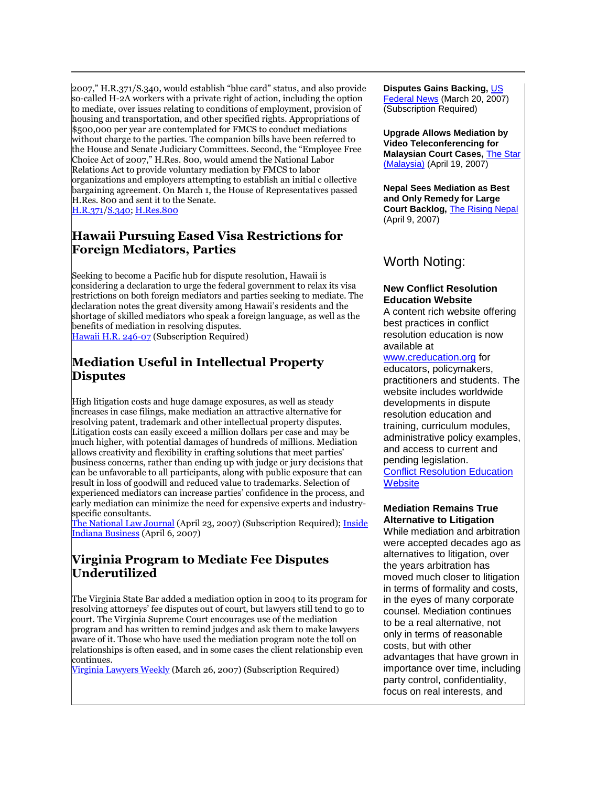2007," H.R.371/S.340, would establish "blue card" status, and also provide so-called H-2A workers with a private right of action, including the option to mediate, over issues relating to conditions of employment, provision of housing and transportation, and other specified rights. Appropriations of \$500,000 per year are contemplated for FMCS to conduct mediations without charge to the parties. The companion bills have been referred to the House and Senate Judiciary Committees. Second, the "Employee Free Choice Act of 2007," H.Res. 800, would amend the National Labor Relations Act to provide voluntary mediation by FMCS to labor organizations and employers attempting to establish an initial c ollective bargaining agreement. On March 1, the House of Representatives passed H.Res. 800 and sent it to the Senate. [H.R.371/S.340; H.Res.800](http://tinyurl.com/2vftuh)

#### **Hawaii Pursuing Eased Visa Restrictions for Foreign Mediators, Parties**

Seeking to become a Pacific hub for dispute resolution, Hawaii is considering a declaration to urge the federal government to relax its visa restrictions on both foreign mediators and parties seeking to mediate. The declaration notes the great diversity among Hawaii's residents and the shortage of skilled mediators who speak a foreign language, as well as the benefits of mediation in resolving disputes. [Hawaii H.R. 246-07](http://web2.westlaw.com/find/default.wl?rs=WLW7.02&fn=_top&sv=Split&findjuris=00001&mt=LawSchoolPractitioner&vr=2.0&rp=/find/default.wl&cite=2007+WLNR+4888746) (Subscription Required)

#### **Mediation Useful in Intellectual Property Disputes**

High litigation costs and huge damage exposures, as well as steady increases in case filings, make mediation an attractive alternative for resolving patent, trademark and other intellectual property disputes. Litigation costs can easily exceed a million dollars per case and may be much higher, with potential damages of hundreds of millions. Mediation allows creativity and flexibility in crafting solutions that meet parties' business concerns, rather than ending up with judge or jury decisions that can be unfavorable to all participants, along with public exposure that can result in loss of goodwill and reduced value to trademarks. Selection of experienced mediators can increase parties' confidence in the process, and early mediation can minimize the need for expensive experts and industryspecific consultants.

[The National Law Journal](http://web2.westlaw.com/find/default.wl?rs=WLW7.04&fn=_top&sv=Split&findjuris=00001&mt=LawSchoolPractitioner&vr=2.0&rp=%0d%0a%20%2ffind%2fdefault.wl&cite=4%2f23%2f2007+Nat) (April 23, 2007) (Subscription Required); Inside [Indiana Business](http://tinyurl.com/2q269f) (April 6, 2007)

#### **Virginia Program to Mediate Fee Disputes Underutilized**

The Virginia State Bar added a mediation option in 2004 to its program for resolving attorneys' fee disputes out of court, but lawyers still tend to go to court. The Virginia Supreme Court encourages use of the mediation program and has written to remind judges and ask them to make lawyers aware of it. Those who have used the mediation program note the toll on relationships is often eased, and in some cases the client relationship even continues.

[Virginia Lawyers Weekly](http://web2.westlaw.com/find/default.wl?rs=WLW7.04&fn=_top&sv=Split&findjuris=00001&mt=NewsAndBusiness&vr=2.0&rp=%2ffind%2fdefault.wl&cite=2007+WLNR+5860704) (March 26, 2007) (Subscription Required)

#### **Disputes Gains Backing,** [US](http://tinyurl.com/2wnuw5)  [Federal News](http://tinyurl.com/2wnuw5) (March 20, 2007) (Subscription Required)

**Upgrade Allows Mediation by Video Teleconferencing for Malaysian Court Cases,** [The Star](http://tinyurl.com/2wnuw5)  [\(Malaysia\)](http://tinyurl.com/2wnuw5) (April 19, 2007)

**Nepal Sees Mediation as Best and Only Remedy for Large Court Backlog,** [The Rising Nepal](http://tinyurl.com/3dlgat) (April 9, 2007)

### Worth Noting:

#### **New Conflict Resolution Education Website**

A content rich website offering best practices in conflict resolution education is now available at

#### [www.creducation.org](http://www.creducation.org/) for

educators, policymakers, practitioners and students. The website includes worldwide developments in dispute resolution education and training, curriculum modules, administrative policy examples, and access to current and pending legislation. **Conflict Resolution Education** 

**[Website](http://www.creducation.org/)** 

#### **Mediation Remains True Alternative to Litigation**

While mediation and arbitration were accepted decades ago as alternatives to litigation, over the years arbitration has moved much closer to litigation in terms of formality and costs, in the eyes of many corporate counsel. Mediation continues to be a real alternative, not only in terms of reasonable costs, but with other advantages that have grown in importance over time, including party control, confidentiality, focus on real interests, and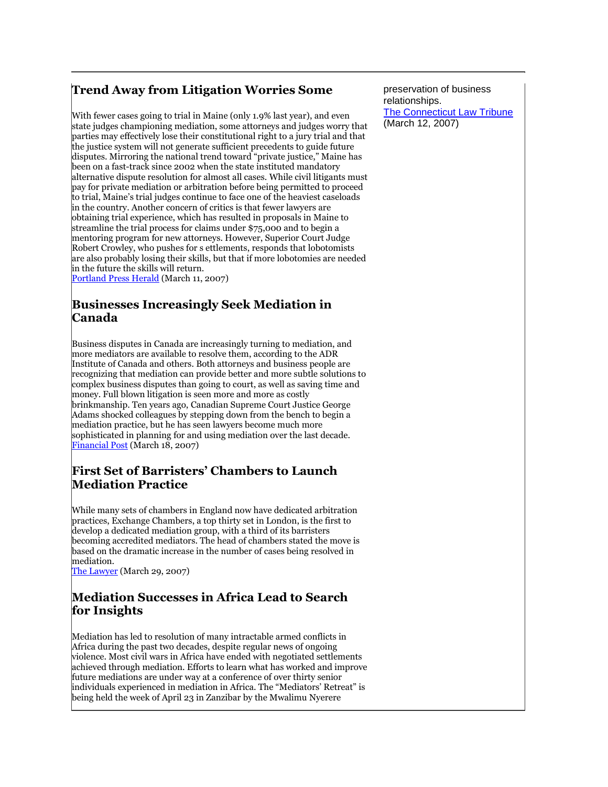#### **Trend Away from Litigation Worries Some**

With fewer cases going to trial in Maine (only 1.9% last year), and even state judges championing mediation, some attorneys and judges worry that parties may effectively lose their constitutional right to a jury trial and that the justice system will not generate sufficient precedents to guide future disputes. Mirroring the national trend toward "private justice," Maine has been on a fast-track since 2002 when the state instituted mandatory alternative dispute resolution for almost all cases. While civil litigants must pay for private mediation or arbitration before being permitted to proceed to trial, Maine's trial judges continue to face one of the heaviest caseloads in the country. Another concern of critics is that fewer lawyers are obtaining trial experience, which has resulted in proposals in Maine to streamline the trial process for claims under \$75,000 and to begin a mentoring program for new attorneys. However, Superior Court Judge Robert Crowley, who pushes for s ettlements, responds that lobotomists are also probably losing their skills, but that if more lobotomies are needed in the future the skills will return.

[Portland Press Herald](http://tinyurl.com/yt9wsh) (March 11, 2007)

#### **Businesses Increasingly Seek Mediation in Canada**

Business disputes in Canada are increasingly turning to mediation, and more mediators are available to resolve them, according to the ADR Institute of Canada and others. Both attorneys and business people are recognizing that mediation can provide better and more subtle solutions to complex business disputes than going to court, as well as saving time and money. Full blown litigation is seen more and more as costly brinkmanship. Ten years ago, Canadian Supreme Court Justice George Adams shocked colleagues by stepping down from the bench to begin a mediation practice, but he has seen lawyers become much more sophisticated in planning for and using mediation over the last decade. [Financial Post](http://tinyurl.com/2xk7tq) (March 18, 2007)

#### **First Set of Barristers' Chambers to Launch Mediation Practice**

While many sets of chambers in England now have dedicated arbitration practices, Exchange Chambers, a top thirty set in London, is the first to develop a dedicated mediation group, with a third of its barristers becoming accredited mediators. The head of chambers stated the move is based on the dramatic increase in the number of cases being resolved in mediation.

[The Lawyer](http://tinyurl.com/36peue) (March 29, 2007)

#### **Mediation Successes in Africa Lead to Search for Insights**

Mediation has led to resolution of many intractable armed conflicts in Africa during the past two decades, despite regular news of ongoing violence. Most civil wars in Africa have ended with negotiated settlements achieved through mediation. Efforts to learn what has worked and improve future mediations are under way at a conference of over thirty senior individuals experienced in mediation in Africa. The "Mediators' Retreat" is being held the week of April 23 in Zanzibar by the Mwalimu Nyerere

preservation of business relationships. [The Connecticut Law Tribune](http://tinyurl.com/39m6c8) (March 12, 2007)